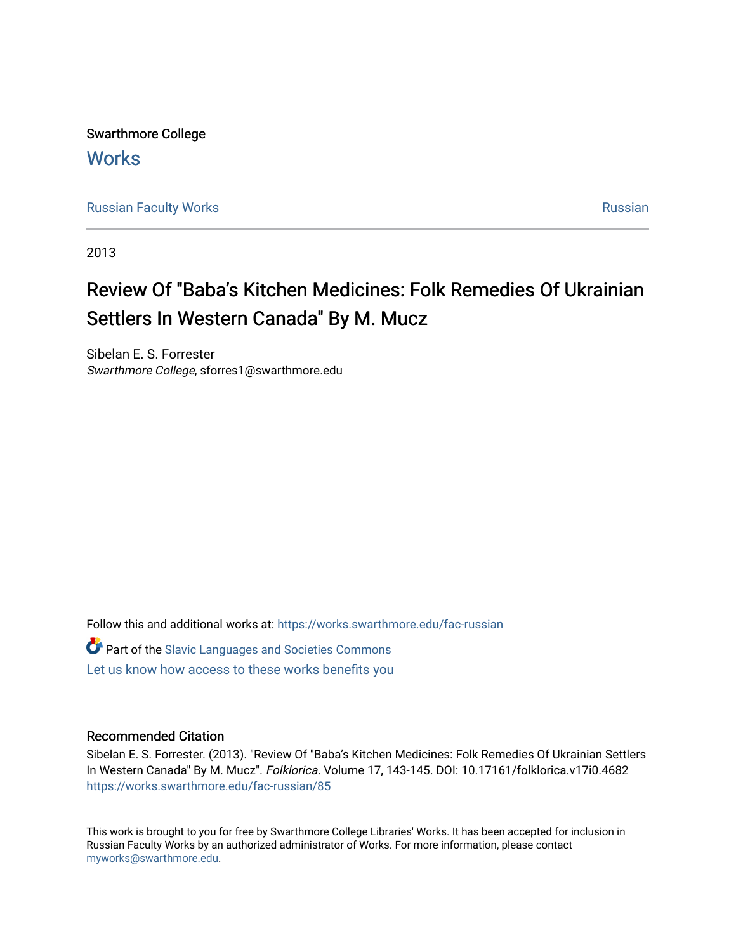Swarthmore College **Works** 

[Russian Faculty Works](https://works.swarthmore.edu/fac-russian) **Russian** [Russian](https://works.swarthmore.edu/russian) Russian Russian

2013

## Review Of "Baba's Kitchen Medicines: Folk Remedies Of Ukrainian Settlers In Western Canada" By M. Mucz

Sibelan E. S. Forrester Swarthmore College, sforres1@swarthmore.edu

Follow this and additional works at: [https://works.swarthmore.edu/fac-russian](https://works.swarthmore.edu/fac-russian?utm_source=works.swarthmore.edu%2Ffac-russian%2F85&utm_medium=PDF&utm_campaign=PDFCoverPages) 

**C** Part of the Slavic Languages and Societies Commons

[Let us know how access to these works benefits you](https://forms.gle/4MB8mE2GywC5965J8) 

## Recommended Citation

Sibelan E. S. Forrester. (2013). "Review Of "Baba's Kitchen Medicines: Folk Remedies Of Ukrainian Settlers In Western Canada" By M. Mucz". Folklorica. Volume 17, 143-145. DOI: 10.17161/folklorica.v17i0.4682 <https://works.swarthmore.edu/fac-russian/85>

This work is brought to you for free by Swarthmore College Libraries' Works. It has been accepted for inclusion in Russian Faculty Works by an authorized administrator of Works. For more information, please contact [myworks@swarthmore.edu.](mailto:myworks@swarthmore.edu)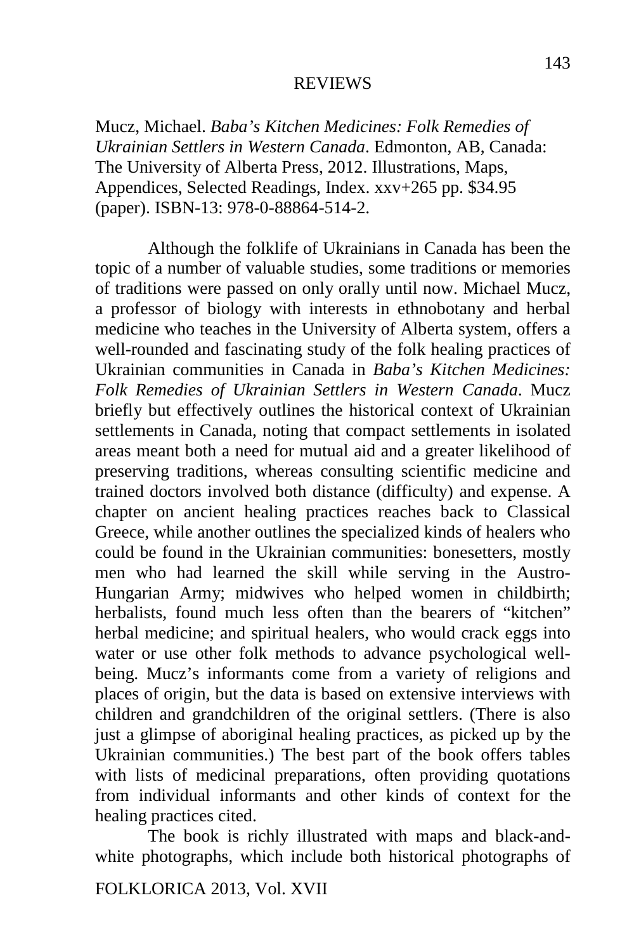## REVIEWS

Mucz, Michael. *Baba's Kitchen Medicines: Folk Remedies of Ukrainian Settlers in Western Canada*. Edmonton, AB, Canada: The University of Alberta Press, 2012. Illustrations, Maps, Appendices, Selected Readings, Index. xxv+265 pp. \$34.95 (paper). ISBN-13: 978-0-88864-514-2.

Although the folklife of Ukrainians in Canada has been the topic of a number of valuable studies, some traditions or memories of traditions were passed on only orally until now. Michael Mucz, a professor of biology with interests in ethnobotany and herbal medicine who teaches in the University of Alberta system, offers a well-rounded and fascinating study of the folk healing practices of Ukrainian communities in Canada in *Baba's Kitchen Medicines: Folk Remedies of Ukrainian Settlers in Western Canada*. Mucz briefly but effectively outlines the historical context of Ukrainian settlements in Canada, noting that compact settlements in isolated areas meant both a need for mutual aid and a greater likelihood of preserving traditions, whereas consulting scientific medicine and trained doctors involved both distance (difficulty) and expense. A chapter on ancient healing practices reaches back to Classical Greece, while another outlines the specialized kinds of healers who could be found in the Ukrainian communities: bonesetters, mostly men who had learned the skill while serving in the Austro-Hungarian Army; midwives who helped women in childbirth; herbalists, found much less often than the bearers of "kitchen" herbal medicine; and spiritual healers, who would crack eggs into water or use other folk methods to advance psychological wellbeing. Mucz's informants come from a variety of religions and places of origin, but the data is based on extensive interviews with children and grandchildren of the original settlers. (There is also just a glimpse of aboriginal healing practices, as picked up by the Ukrainian communities.) The best part of the book offers tables with lists of medicinal preparations, often providing quotations from individual informants and other kinds of context for the healing practices cited.

The book is richly illustrated with maps and black-andwhite photographs, which include both historical photographs of

FOLKLORICA 2013, Vol. XVII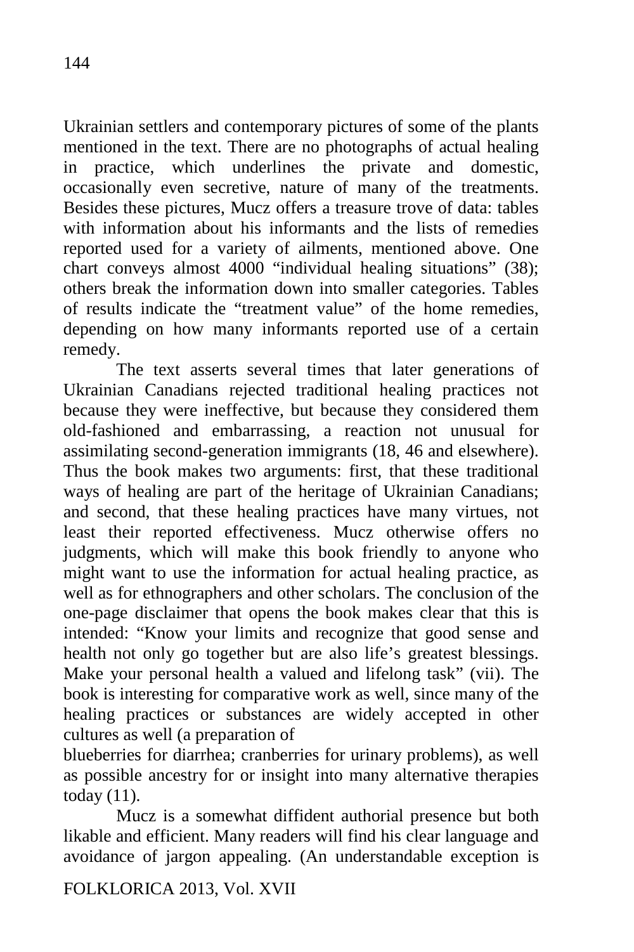Ukrainian settlers and contemporary pictures of some of the plants mentioned in the text. There are no photographs of actual healing in practice, which underlines the private and domestic, occasionally even secretive, nature of many of the treatments. Besides these pictures, Mucz offers a treasure trove of data: tables with information about his informants and the lists of remedies reported used for a variety of ailments, mentioned above. One chart conveys almost 4000 "individual healing situations" (38); others break the information down into smaller categories. Tables of results indicate the "treatment value" of the home remedies, depending on how many informants reported use of a certain remedy.

The text asserts several times that later generations of Ukrainian Canadians rejected traditional healing practices not because they were ineffective, but because they considered them old-fashioned and embarrassing, a reaction not unusual for assimilating second-generation immigrants (18, 46 and elsewhere). Thus the book makes two arguments: first, that these traditional ways of healing are part of the heritage of Ukrainian Canadians; and second, that these healing practices have many virtues, not least their reported effectiveness. Mucz otherwise offers no judgments, which will make this book friendly to anyone who might want to use the information for actual healing practice, as well as for ethnographers and other scholars. The conclusion of the one-page disclaimer that opens the book makes clear that this is intended: "Know your limits and recognize that good sense and health not only go together but are also life's greatest blessings. Make your personal health a valued and lifelong task" (vii). The book is interesting for comparative work as well, since many of the healing practices or substances are widely accepted in other cultures as well (a preparation of

blueberries for diarrhea; cranberries for urinary problems), as well as possible ancestry for or insight into many alternative therapies today (11).

Mucz is a somewhat diffident authorial presence but both likable and efficient. Many readers will find his clear language and avoidance of jargon appealing. (An understandable exception is

FOLKLORICA 2013, Vol. XVII